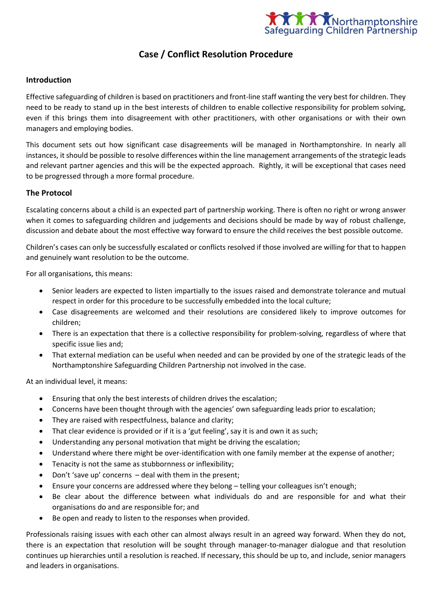

### **Case / Conflict Resolution Procedure**

#### **Introduction**

Effective safeguarding of children is based on practitioners and front-line staff wanting the very best for children. They need to be ready to stand up in the best interests of children to enable collective responsibility for problem solving, even if this brings them into disagreement with other practitioners, with other organisations or with their own managers and employing bodies.

This document sets out how significant case disagreements will be managed in Northamptonshire. In nearly all instances, it should be possible to resolve differences within the line management arrangements of the strategic leads and relevant partner agencies and this will be the expected approach. Rightly, it will be exceptional that cases need to be progressed through a more formal procedure.

#### **The Protocol**

Escalating concerns about a child is an expected part of partnership working. There is often no right or wrong answer when it comes to safeguarding children and judgements and decisions should be made by way of robust challenge, discussion and debate about the most effective way forward to ensure the child receives the best possible outcome.

Children's cases can only be successfully escalated or conflicts resolved if those involved are willing for that to happen and genuinely want resolution to be the outcome.

For all organisations, this means:

- Senior leaders are expected to listen impartially to the issues raised and demonstrate tolerance and mutual respect in order for this procedure to be successfully embedded into the local culture;
- Case disagreements are welcomed and their resolutions are considered likely to improve outcomes for children;
- There is an expectation that there is a collective responsibility for problem-solving, regardless of where that specific issue lies and;
- That external mediation can be useful when needed and can be provided by one of the strategic leads of the Northamptonshire Safeguarding Children Partnership not involved in the case.

At an individual level, it means:

- Ensuring that only the best interests of children drives the escalation;
- Concerns have been thought through with the agencies' own safeguarding leads prior to escalation;
- They are raised with respectfulness, balance and clarity;
- That clear evidence is provided or if it is a 'gut feeling', say it is and own it as such;
- Understanding any personal motivation that might be driving the escalation;
- Understand where there might be over-identification with one family member at the expense of another;
- Tenacity is not the same as stubbornness or inflexibility;
- Don't 'save up' concerns  $-$  deal with them in the present;
- Ensure your concerns are addressed where they belong telling your colleagues isn't enough;
- Be clear about the difference between what individuals do and are responsible for and what their organisations do and are responsible for; and
- Be open and ready to listen to the responses when provided.

Professionals raising issues with each other can almost always result in an agreed way forward. When they do not, there is an expectation that resolution will be sought through manager-to-manager dialogue and that resolution continues up hierarchies until a resolution is reached. If necessary, this should be up to, and include, senior managers and leaders in organisations.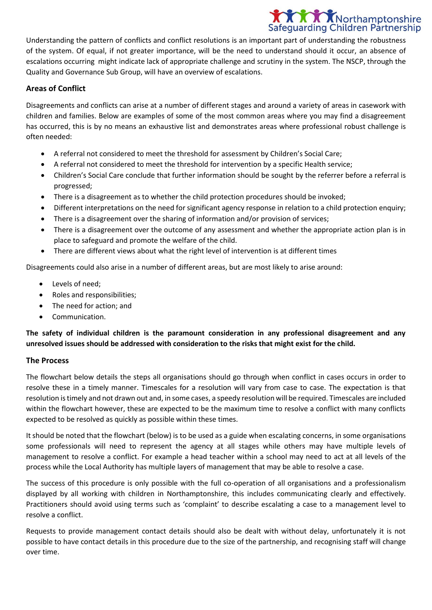# **XXX** Northamptonshire **Safequarding Children Partnership**

Understanding the pattern of conflicts and conflict resolutions is an important part of understanding the robustness of the system. Of equal, if not greater importance, will be the need to understand should it occur, an absence of escalations occurring might indicate lack of appropriate challenge and scrutiny in the system. The NSCP, through the Quality and Governance Sub Group, will have an overview of escalations.

### **Areas of Conflict**

Disagreements and conflicts can arise at a number of different stages and around a variety of areas in casework with children and families. Below are examples of some of the most common areas where you may find a disagreement has occurred, this is by no means an exhaustive list and demonstrates areas where professional robust challenge is often needed:

- A referral not considered to meet the threshold for assessment by Children's Social Care;
- A referral not considered to meet the threshold for intervention by a specific Health service;
- Children's Social Care conclude that further information should be sought by the referrer before a referral is progressed;
- There is a disagreement as to whether the child protection procedures should be invoked;
- Different interpretations on the need for significant agency response in relation to a child protection enquiry;
- There is a disagreement over the sharing of information and/or provision of services;
- There is a disagreement over the outcome of any assessment and whether the appropriate action plan is in place to safeguard and promote the welfare of the child.
- There are different views about what the right level of intervention is at different times

Disagreements could also arise in a number of different areas, but are most likely to arise around:

- Levels of need;
- Roles and responsibilities;
- The need for action; and
- Communication.

**The safety of individual children is the paramount consideration in any professional disagreement and any unresolved issues should be addressed with consideration to the risks that might exist for the child.**

#### **The Process**

The flowchart below details the steps all organisations should go through when conflict in cases occurs in order to resolve these in a timely manner. Timescales for a resolution will vary from case to case. The expectation is that resolution is timely and not drawn out and, in some cases, a speedy resolution will be required. Timescales are included within the flowchart however, these are expected to be the maximum time to resolve a conflict with many conflicts expected to be resolved as quickly as possible within these times.

It should be noted that the flowchart (below) is to be used as a guide when escalating concerns, in some organisations some professionals will need to represent the agency at all stages while others may have multiple levels of management to resolve a conflict. For example a head teacher within a school may need to act at all levels of the process while the Local Authority has multiple layers of management that may be able to resolve a case.

The success of this procedure is only possible with the full co-operation of all organisations and a professionalism displayed by all working with children in Northamptonshire, this includes communicating clearly and effectively. Practitioners should avoid using terms such as 'complaint' to describe escalating a case to a management level to resolve a conflict.

Requests to provide management contact details should also be dealt with without delay, unfortunately it is not possible to have contact details in this procedure due to the size of the partnership, and recognising staff will change over time.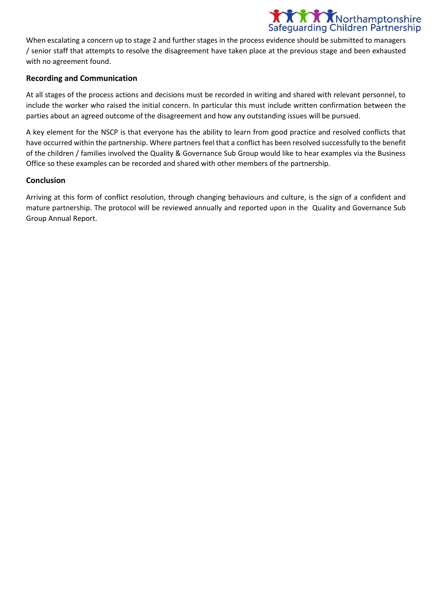

When escalating a concern up to stage 2 and further stages in the process evidence should be submitted to managers / senior staff that attempts to resolve the disagreement have taken place at the previous stage and been exhausted with no agreement found.

#### **Recording and Communication**

At all stages of the process actions and decisions must be recorded in writing and shared with relevant personnel, to include the worker who raised the initial concern. In particular this must include written confirmation between the parties about an agreed outcome of the disagreement and how any outstanding issues will be pursued.

A key element for the NSCP is that everyone has the ability to learn from good practice and resolved conflicts that have occurred within the partnership. Where partners feel that a conflict has been resolved successfully to the benefit of the children / families involved the Quality & Governance Sub Group would like to hear examples via the Business Office so these examples can be recorded and shared with other members of the partnership.

#### **Conclusion**

Arriving at this form of conflict resolution, through changing behaviours and culture, is the sign of a confident and mature partnership. The protocol will be reviewed annually and reported upon in the Quality and Governance Sub Group Annual Report.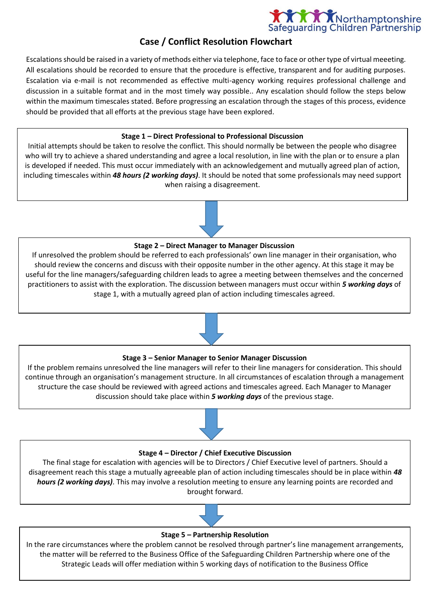

## **Case / Conflict Resolution Flowchart**

Escalations should be raised in a variety of methods either via telephone, face to face or other type of virtual meeeting. All escalations should be recorded to ensure that the procedure is effective, transparent and for auditing purposes. Escalation via e-mail is not recommended as effective multi-agency working requires professional challenge and discussion in a suitable format and in the most timely way possible.. Any escalation should follow the steps below within the maximum timescales stated. Before progressing an escalation through the stages of this process, evidence should be provided that all efforts at the previous stage have been explored.

#### **Stage 1 – Direct Professional to Professional Discussion**

Initial attempts should be taken to resolve the conflict. This should normally be between the people who disagree who will try to achieve a shared understanding and agree a local resolution, in line with the plan or to ensure a plan is developed if needed. This must occur immediately with an acknowledgement and mutually agreed plan of action, including timescales within *48 hours (2 working days)*. It should be noted that some professionals may need support when raising a disagreement.



If unresolved the problem should be referred to each professionals' own line manager in their organisation, who should review the concerns and discuss with their opposite number in the other agency. At this stage it may be useful for the line managers/safeguarding children leads to agree a meeting between themselves and the concerned practitioners to assist with the exploration. The discussion between managers must occur within *5 working days* of stage 1, with a mutually agreed plan of action including timescales agreed.



If the problem remains unresolved the line managers will refer to their line managers for consideration. This should continue through an organisation's management structure. In all circumstances of escalation through a management structure the case should be reviewed with agreed actions and timescales agreed. Each Manager to Manager discussion should take place within *5 working days* of the previous stage.



The final stage for escalation with agencies will be to Directors / Chief Executive level of partners. Should a disagreement reach this stage a mutually agreeable plan of action including timescales should be in place within *48 hours (2 working days)*. This may involve a resolution meeting to ensure any learning points are recorded and brought forward.



#### **Stage 5 – Partnership Resolution**

In the rare circumstances where the problem cannot be resolved through partner's line management arrangements, the matter will be referred to the Business Office of the Safeguarding Children Partnership where one of the Strategic Leads will offer mediation within 5 working days of notification to the Business Office